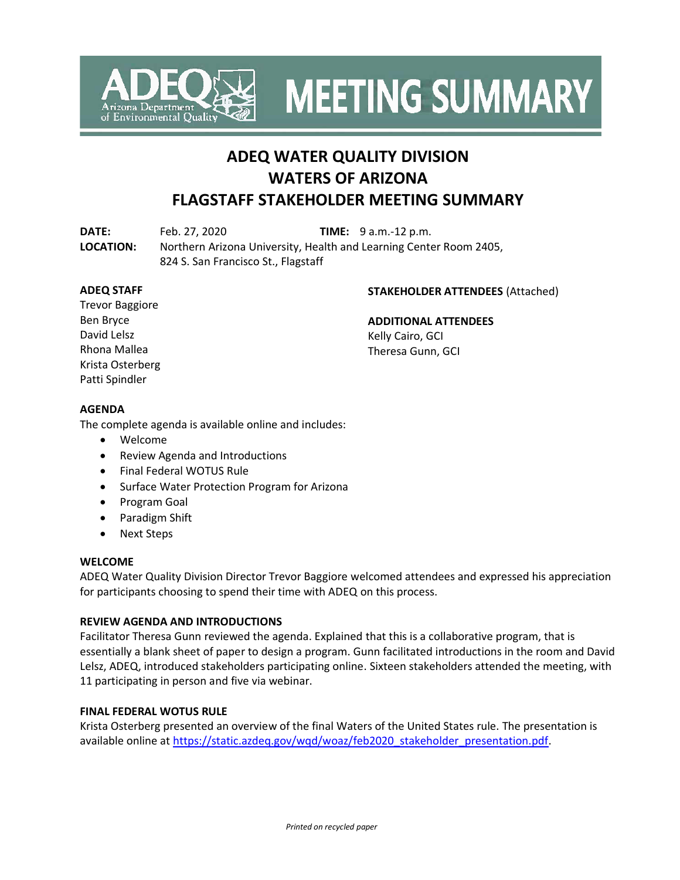

**MEETING SUMMARY** 

# **ADEQ WATER QUALITY DIVISION WATERS OF ARIZONA FLAGSTAFF STAKEHOLDER MEETING SUMMARY**

**DATE:** Feb. 27, 2020 **TIME:** 9 a.m.-12 p.m.

**LOCATION:** Northern Arizona University, Health and Learning Center Room 2405, 824 S. San Francisco St., Flagstaff

# **ADEQ STAFF**

### **STAKEHOLDER ATTENDEES** (Attached)

Trevor Baggiore Ben Bryce David Lelsz Rhona Mallea Krista Osterberg Patti Spindler

### **ADDITIONAL ATTENDEES**

Kelly Cairo, GCI Theresa Gunn, GCI

# **AGENDA**

The complete agenda is available online and includes:

- Welcome
- Review Agenda and Introductions
- Final Federal WOTUS Rule
- Surface Water Protection Program for Arizona
- Program Goal
- Paradigm Shift
- Next Steps

#### **WELCOME**

ADEQ Water Quality Division Director Trevor Baggiore welcomed attendees and expressed his appreciation for participants choosing to spend their time with ADEQ on this process.

#### **REVIEW AGENDA AND INTRODUCTIONS**

Facilitator Theresa Gunn reviewed the agenda. Explained that this is a collaborative program, that is essentially a blank sheet of paper to design a program. Gunn facilitated introductions in the room and David Lelsz, ADEQ, introduced stakeholders participating online. Sixteen stakeholders attended the meeting, with 11 participating in person and five via webinar.

#### **FINAL FEDERAL WOTUS RULE**

Krista Osterberg presented an overview of the final Waters of the United States rule. The presentation is available online at [https://static.azdeq.gov/wqd/woaz/feb2020\\_stakeholder\\_presentation.pdf.](https://static.azdeq.gov/wqd/woaz/feb2020_stakeholder_presentation.pdf)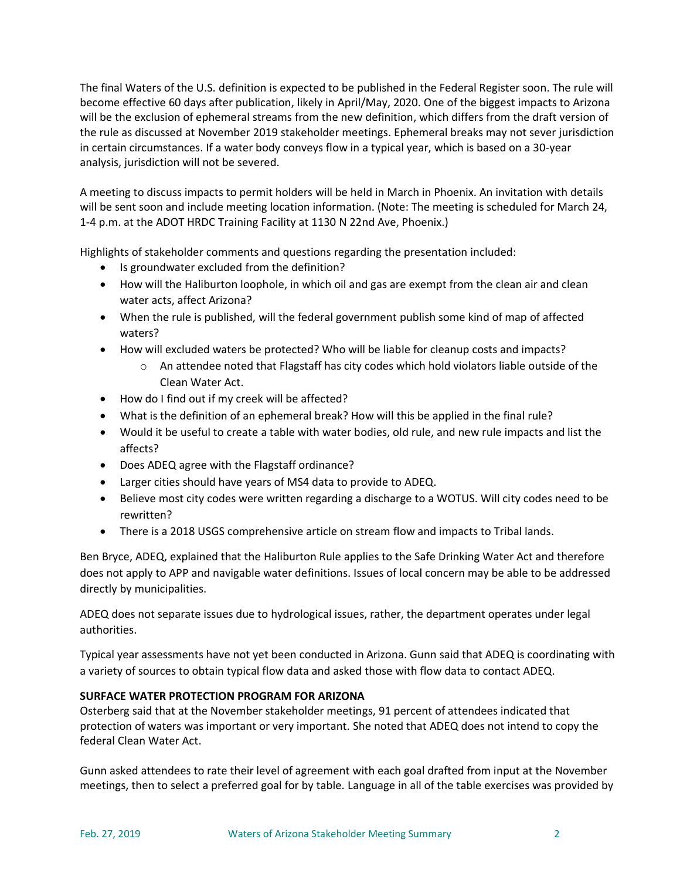The final Waters of the U.S. definition is expected to be published in the Federal Register soon. The rule will become effective 60 days after publication, likely in April/May, 2020. One of the biggest impacts to Arizona will be the exclusion of ephemeral streams from the new definition, which differs from the draft version of the rule as discussed at November 2019 stakeholder meetings. Ephemeral breaks may not sever jurisdiction in certain circumstances. If a water body conveys flow in a typical year, which is based on a 30-year analysis, jurisdiction will not be severed.

A meeting to discuss impacts to permit holders will be held in March in Phoenix. An invitation with details will be sent soon and include meeting location information. (Note: The meeting is scheduled for March 24, 1-4 p.m. at the ADOT HRDC Training Facility at 1130 N 22nd Ave, Phoenix.)

Highlights of stakeholder comments and questions regarding the presentation included:

- Is groundwater excluded from the definition?
- How will the Haliburton loophole, in which oil and gas are exempt from the clean air and clean water acts, affect Arizona?
- When the rule is published, will the federal government publish some kind of map of affected waters?
- How will excluded waters be protected? Who will be liable for cleanup costs and impacts?
	- o An attendee noted that Flagstaff has city codes which hold violators liable outside of the Clean Water Act.
- How do I find out if my creek will be affected?
- What is the definition of an ephemeral break? How will this be applied in the final rule?
- Would it be useful to create a table with water bodies, old rule, and new rule impacts and list the affects?
- Does ADEQ agree with the Flagstaff ordinance?
- Larger cities should have years of MS4 data to provide to ADEQ.
- Believe most city codes were written regarding a discharge to a WOTUS. Will city codes need to be rewritten?
- There is a 2018 USGS comprehensive article on stream flow and impacts to Tribal lands.

Ben Bryce, ADEQ, explained that the Haliburton Rule applies to the Safe Drinking Water Act and therefore does not apply to APP and navigable water definitions. Issues of local concern may be able to be addressed directly by municipalities.

ADEQ does not separate issues due to hydrological issues, rather, the department operates under legal authorities.

Typical year assessments have not yet been conducted in Arizona. Gunn said that ADEQ is coordinating with a variety of sources to obtain typical flow data and asked those with flow data to contact ADEQ.

### **SURFACE WATER PROTECTION PROGRAM FOR ARIZONA**

Osterberg said that at the November stakeholder meetings, 91 percent of attendees indicated that protection of waters was important or very important. She noted that ADEQ does not intend to copy the federal Clean Water Act.

Gunn asked attendees to rate their level of agreement with each goal drafted from input at the November meetings, then to select a preferred goal for by table. Language in all of the table exercises was provided by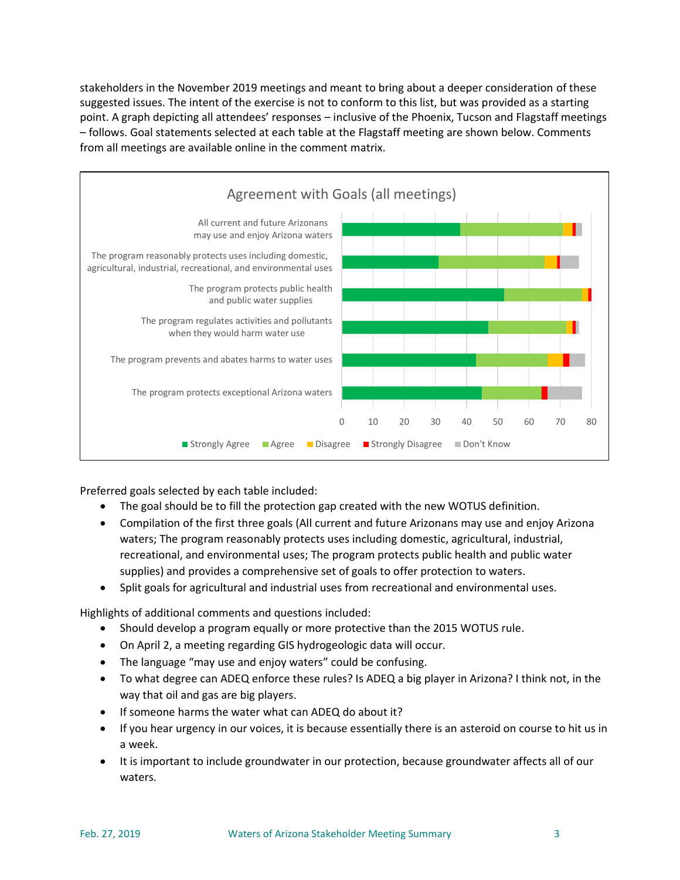stakeholders in the November 2019 meetings and meant to bring about a deeper consideration of these suggested issues. The intent of the exercise is not to conform to this list, but was provided as a starting point. A graph depicting all attendees' responses – inclusive of the Phoenix, Tucson and Flagstaff meetings – follows. Goal statements selected at each table at the Flagstaff meeting are shown below. Comments from all meetings are available online in the comment matrix.



Preferred goals selected by each table included:

- The goal should be to fill the protection gap created with the new WOTUS definition.
- Compilation of the first three goals (All current and future Arizonans may use and enjoy Arizona waters; The program reasonably protects uses including domestic, agricultural, industrial, recreational, and environmental uses; The program protects public health and public water supplies) and provides a comprehensive set of goals to offer protection to waters.
- Split goals for agricultural and industrial uses from recreational and environmental uses.

Highlights of additional comments and questions included:

- Should develop a program equally or more protective than the 2015 WOTUS rule.
- On April 2, a meeting regarding GIS hydrogeologic data will occur.
- The language "may use and enjoy waters" could be confusing.
- To what degree can ADEQ enforce these rules? Is ADEQ a big player in Arizona? I think not, in the way that oil and gas are big players.
- If someone harms the water what can ADEQ do about it?
- If you hear urgency in our voices, it is because essentially there is an asteroid on course to hit us in a week.
- It is important to include groundwater in our protection, because groundwater affects all of our waters.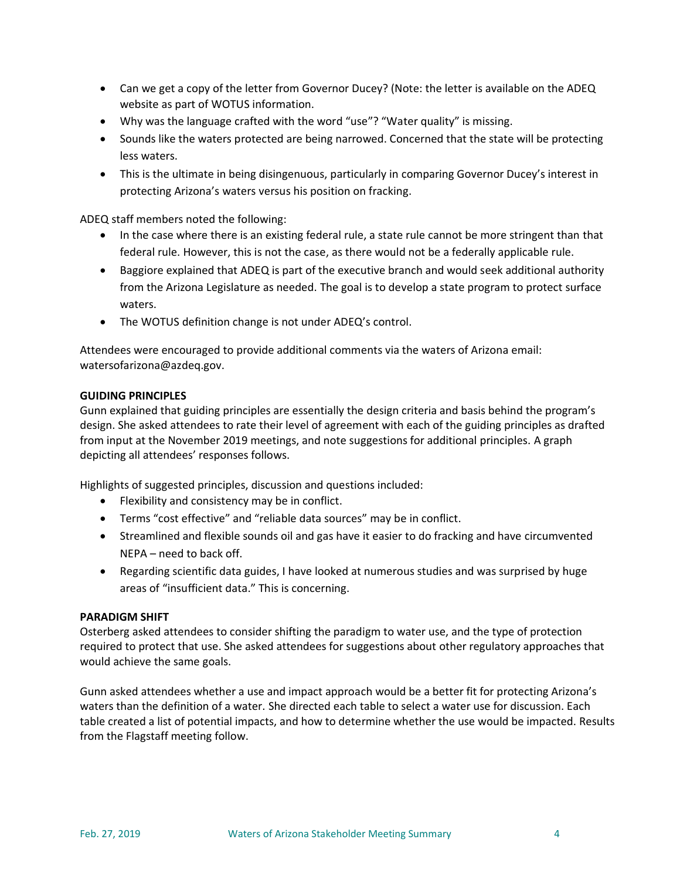- Can we get a copy of the letter from Governor Ducey? (Note: the letter is available on the ADEQ website as part of WOTUS information.
- Why was the language crafted with the word "use"? "Water quality" is missing.
- Sounds like the waters protected are being narrowed. Concerned that the state will be protecting less waters.
- This is the ultimate in being disingenuous, particularly in comparing Governor Ducey's interest in protecting Arizona's waters versus his position on fracking.

ADEQ staff members noted the following:

- In the case where there is an existing federal rule, a state rule cannot be more stringent than that federal rule. However, this is not the case, as there would not be a federally applicable rule.
- Baggiore explained that ADEQ is part of the executive branch and would seek additional authority from the Arizona Legislature as needed. The goal is to develop a state program to protect surface waters.
- The WOTUS definition change is not under ADEQ's control.

Attendees were encouraged to provide additional comments via the waters of Arizona email: [watersofarizona@azdeq.gov.](mailto:watersofarizona@azdeq.gov?subject=WOAZ)

#### **GUIDING PRINCIPLES**

Gunn explained that guiding principles are essentially the design criteria and basis behind the program's design. She asked attendees to rate their level of agreement with each of the guiding principles as drafted from input at the November 2019 meetings, and note suggestions for additional principles. A graph depicting all attendees' responses follows.

Highlights of suggested principles, discussion and questions included:

- Flexibility and consistency may be in conflict.
- Terms "cost effective" and "reliable data sources" may be in conflict.
- Streamlined and flexible sounds oil and gas have it easier to do fracking and have circumvented NEPA – need to back off.
- Regarding scientific data guides, I have looked at numerous studies and was surprised by huge areas of "insufficient data." This is concerning.

#### **PARADIGM SHIFT**

Osterberg asked attendees to consider shifting the paradigm to water use, and the type of protection required to protect that use. She asked attendees for suggestions about other regulatory approaches that would achieve the same goals.

Gunn asked attendees whether a use and impact approach would be a better fit for protecting Arizona's waters than the definition of a water. She directed each table to select a water use for discussion. Each table created a list of potential impacts, and how to determine whether the use would be impacted. Results from the Flagstaff meeting follow.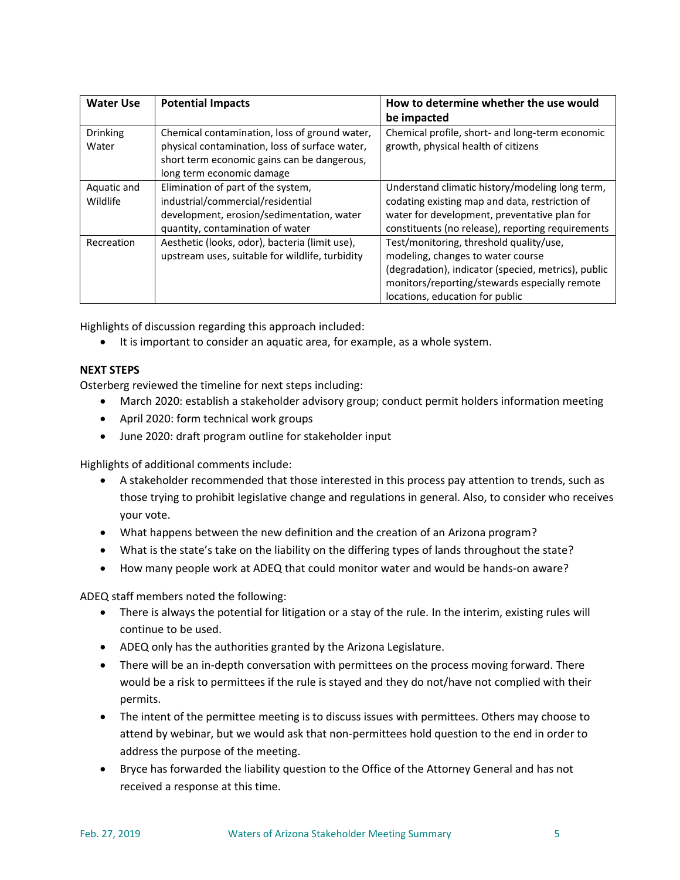| <b>Water Use</b>         | <b>Potential Impacts</b>                                                                                                                                                    | How to determine whether the use would<br>be impacted                                                                                                                                                                   |
|--------------------------|-----------------------------------------------------------------------------------------------------------------------------------------------------------------------------|-------------------------------------------------------------------------------------------------------------------------------------------------------------------------------------------------------------------------|
| <b>Drinking</b><br>Water | Chemical contamination, loss of ground water,<br>physical contamination, loss of surface water,<br>short term economic gains can be dangerous,<br>long term economic damage | Chemical profile, short- and long-term economic<br>growth, physical health of citizens                                                                                                                                  |
| Aquatic and<br>Wildlife  | Elimination of part of the system,<br>industrial/commercial/residential<br>development, erosion/sedimentation, water<br>quantity, contamination of water                    | Understand climatic history/modeling long term,<br>codating existing map and data, restriction of<br>water for development, preventative plan for<br>constituents (no release), reporting requirements                  |
| Recreation               | Aesthetic (looks, odor), bacteria (limit use),<br>upstream uses, suitable for wildlife, turbidity                                                                           | Test/monitoring, threshold quality/use,<br>modeling, changes to water course<br>(degradation), indicator (specied, metrics), public<br>monitors/reporting/stewards especially remote<br>locations, education for public |

Highlights of discussion regarding this approach included:

• It is important to consider an aquatic area, for example, as a whole system.

# **NEXT STEPS**

Osterberg reviewed the timeline for next steps including:

- March 2020: establish a stakeholder advisory group; conduct permit holders information meeting
- April 2020: form technical work groups
- June 2020: draft program outline for stakeholder input

Highlights of additional comments include:

- A stakeholder recommended that those interested in this process pay attention to trends, such as those trying to prohibit legislative change and regulations in general. Also, to consider who receives your vote.
- What happens between the new definition and the creation of an Arizona program?
- What is the state's take on the liability on the differing types of lands throughout the state?
- How many people work at ADEQ that could monitor water and would be hands-on aware?

ADEQ staff members noted the following:

- There is always the potential for litigation or a stay of the rule. In the interim, existing rules will continue to be used.
- ADEQ only has the authorities granted by the Arizona Legislature.
- There will be an in-depth conversation with permittees on the process moving forward. There would be a risk to permittees if the rule is stayed and they do not/have not complied with their permits.
- The intent of the permittee meeting is to discuss issues with permittees. Others may choose to attend by webinar, but we would ask that non-permittees hold question to the end in order to address the purpose of the meeting.
- Bryce has forwarded the liability question to the Office of the Attorney General and has not received a response at this time.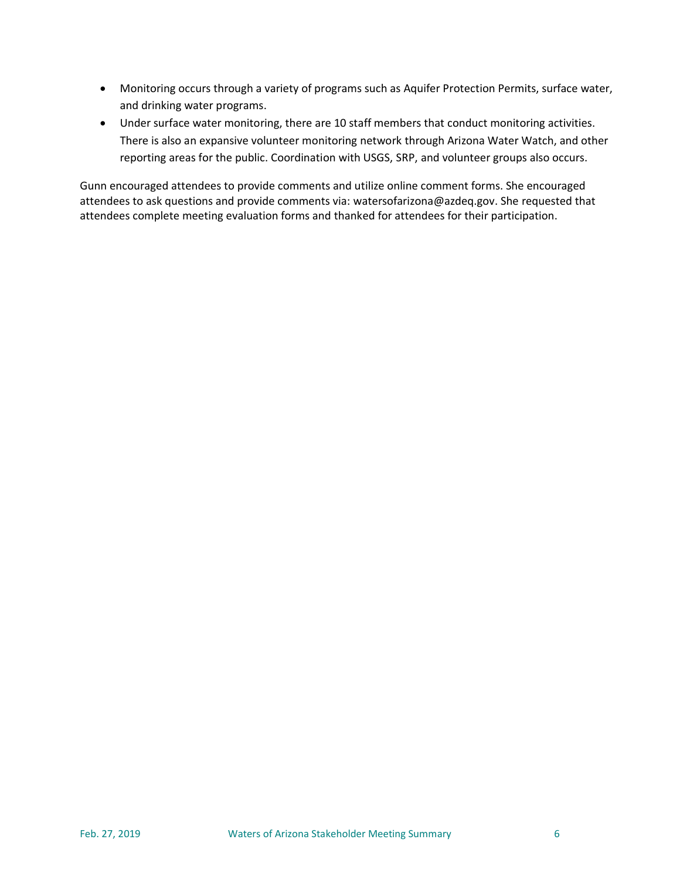- Monitoring occurs through a variety of programs such as Aquifer Protection Permits, surface water, and drinking water programs.
- Under surface water monitoring, there are 10 staff members that conduct monitoring activities. There is also an expansive volunteer monitoring network through Arizona Water Watch, and other reporting areas for the public. Coordination with USGS, SRP, and volunteer groups also occurs.

Gunn encouraged attendees to provide comments and utilize online comment forms. She encouraged attendees to ask questions and provide comments via: [watersofarizona@azdeq.gov.](mailto:watersofarizona@azdeq.gov?subject=WOAZ) She requested that attendees complete meeting evaluation forms and thanked for attendees for their participation.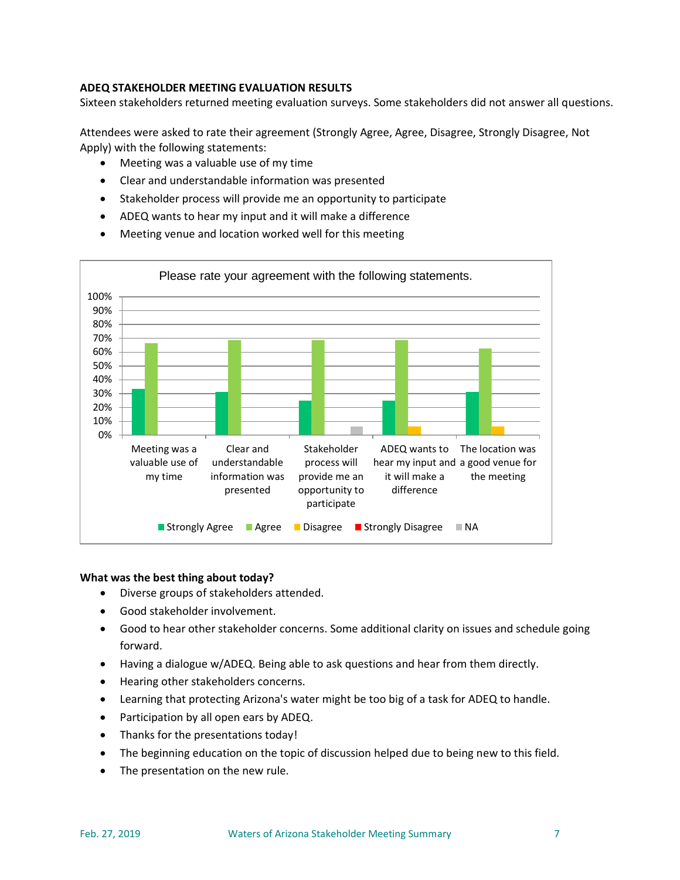# **ADEQ STAKEHOLDER MEETING EVALUATION RESULTS**

Sixteen stakeholders returned meeting evaluation surveys. Some stakeholders did not answer all questions.

Attendees were asked to rate their agreement (Strongly Agree, Agree, Disagree, Strongly Disagree, Not Apply) with the following statements:

- Meeting was a valuable use of my time
- Clear and understandable information was presented
- Stakeholder process will provide me an opportunity to participate
- ADEQ wants to hear my input and it will make a difference
- Meeting venue and location worked well for this meeting



#### **What was the best thing about today?**

- Diverse groups of stakeholders attended.
- Good stakeholder involvement.
- Good to hear other stakeholder concerns. Some additional clarity on issues and schedule going forward.
- Having a dialogue w/ADEQ. Being able to ask questions and hear from them directly.
- Hearing other stakeholders concerns.
- Learning that protecting Arizona's water might be too big of a task for ADEQ to handle.
- Participation by all open ears by ADEQ.
- Thanks for the presentations today!
- The beginning education on the topic of discussion helped due to being new to this field.
- The presentation on the new rule.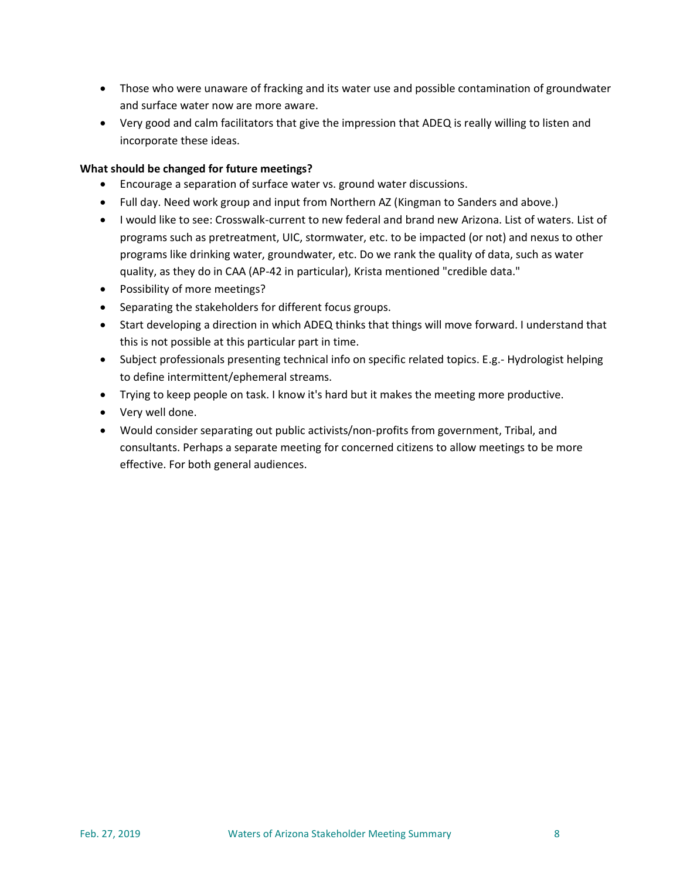- Those who were unaware of fracking and its water use and possible contamination of groundwater and surface water now are more aware.
- Very good and calm facilitators that give the impression that ADEQ is really willing to listen and incorporate these ideas.

# **What should be changed for future meetings?**

- Encourage a separation of surface water vs. ground water discussions.
- Full day. Need work group and input from Northern AZ (Kingman to Sanders and above.)
- I would like to see: Crosswalk-current to new federal and brand new Arizona. List of waters. List of programs such as pretreatment, UIC, stormwater, etc. to be impacted (or not) and nexus to other programs like drinking water, groundwater, etc. Do we rank the quality of data, such as water quality, as they do in CAA (AP-42 in particular), Krista mentioned "credible data."
- Possibility of more meetings?
- Separating the stakeholders for different focus groups.
- Start developing a direction in which ADEQ thinks that things will move forward. I understand that this is not possible at this particular part in time.
- Subject professionals presenting technical info on specific related topics. E.g.- Hydrologist helping to define intermittent/ephemeral streams.
- Trying to keep people on task. I know it's hard but it makes the meeting more productive.
- Very well done.
- Would consider separating out public activists/non-profits from government, Tribal, and consultants. Perhaps a separate meeting for concerned citizens to allow meetings to be more effective. For both general audiences.